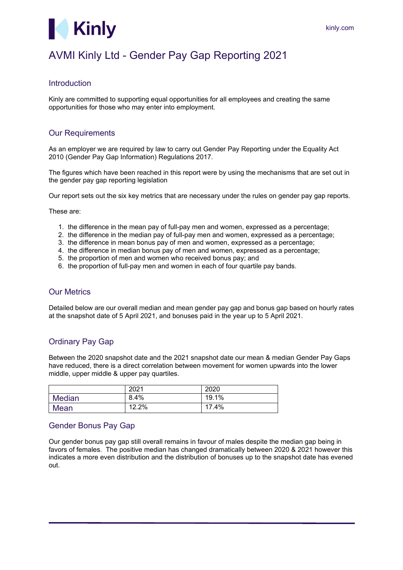

# AVMI Kinly Ltd - Gender Pay Gap Reporting 2021

#### Introduction

Kinly are committed to supporting equal opportunities for all employees and creating the same opportunities for those who may enter into employment.

## **Our Requirements**

As an employer we are required by law to carry out Gender Pay Reporting under the Equality Act 2010 (Gender Pay Gap Information) Regulations 2017.

The figures which have been reached in this report were by using the mechanisms that are set out in the gender pay gap reporting legislation

Our report sets out the six key metrics that are necessary under the rules on gender pay gap reports.

These are:

- 1. the difference in the mean pay of full-pay men and women, expressed as a percentage;
- 2. the difference in the median pay of full-pay men and women, expressed as a percentage;
- 3. the difference in mean bonus pay of men and women, expressed as a percentage;
- 4. the difference in median bonus pay of men and women, expressed as a percentage;
- 5. the proportion of men and women who received bonus pay; and
- 6. the proportion of full-pay men and women in each of four quartile pay bands.

## Our Metrics

Detailed below are our overall median and mean gender pay gap and bonus gap based on hourly rates at the snapshot date of 5 April 2021, and bonuses paid in the year up to 5 April 2021.

## Ordinary Pay Gap

Between the 2020 snapshot date and the 2021 snapshot date our mean & median Gender Pay Gaps have reduced, there is a direct correlation between movement for women upwards into the lower middle, upper middle & upper pay quartiles.

|               | 2021  | 2020  |
|---------------|-------|-------|
| <b>Median</b> | 8.4%  | 19.1% |
| Mean          | 12.2% | 17.4% |

#### Gender Bonus Pay Gap

Our gender bonus pay gap still overall remains in favour of males despite the median gap being in favors of females. The positive median has changed dramatically between 2020 & 2021 however this indicates a more even distribution and the distribution of bonuses up to the snapshot date has evened out.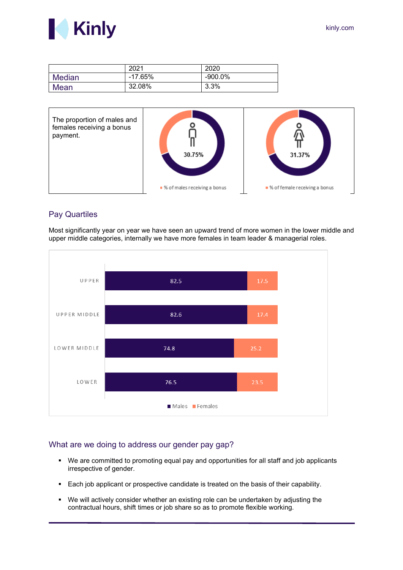



|               | 2021      | 2020    |
|---------------|-----------|---------|
| <b>Median</b> | $-17.65%$ | -900.0% |
| <b>Mean</b>   | 32.08%    | 3.3%    |



## Pay Quartiles



Most significantly year on year we have seen an upward trend of more women in the lower middle and upper middle categories, internally we have more females in team leader & managerial roles.

#### What are we doing to address our gender pay gap?

- We are committed to promoting equal pay and opportunities for all staff and job applicants irrespective of gender.
- Each job applicant or prospective candidate is treated on the basis of their capability.
- We will actively consider whether an existing role can be undertaken by adjusting the contractual hours, shift times or job share so as to promote flexible working.